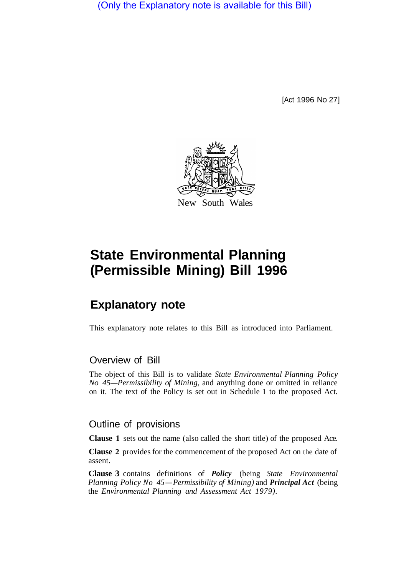(Only the Explanatory note is available for this Bill)

[Act 1996 No 27]



## **State Environmental Planning (Permissible Mining) Bill 1996**

## **Explanatory note**

This explanatory note relates to this Bill as introduced into Parliament.

## Overview of Bill

The object of this Bill is to validate *State Environmental Planning Policy No 45—Permissibility of Mining,* and anything done or omitted in reliance on it. The text of the Policy is set out in Schedule **1** to the proposed Act.

## Outline of provisions

**Clause 1** sets out the name (also called the short title) of the proposed Ace.

**Clause 2** provides for the commencement of the proposed Act on the date of assent.

**Clause 3** contains definitions of *Policy* (being *State Environmental Planning Policy No 45-Permissibility of Mining)* and *Principal Act* (being the *Environmental Planning and Assessment Act 1979).*